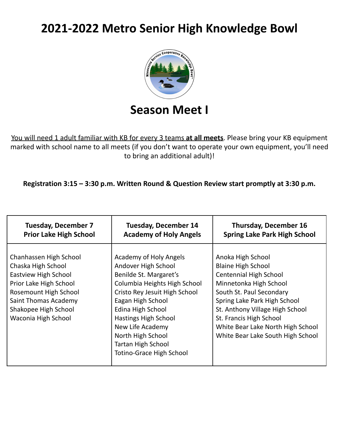# **2021-2022 Metro Senior High Knowledge Bowl**



### **Season Meet I**

You will need 1 adult familiar with KB for every 3 teams **at all meets**. Please bring your KB equipment marked with school name to all meets (if you don't want to operate your own equipment, you'll need to bring an additional adult)!

**Registration 3:15 – 3:30 p.m. Written Round & Question Review start promptly at 3:30 p.m.**

| <b>Tuesday, December 7</b>                                                                                                                                                                            | <b>Tuesday, December 14</b>                                                                                                                                                                                                                                                                                         | <b>Thursday, December 16</b>                                                                                                                                                                                                                                                                                  |
|-------------------------------------------------------------------------------------------------------------------------------------------------------------------------------------------------------|---------------------------------------------------------------------------------------------------------------------------------------------------------------------------------------------------------------------------------------------------------------------------------------------------------------------|---------------------------------------------------------------------------------------------------------------------------------------------------------------------------------------------------------------------------------------------------------------------------------------------------------------|
| <b>Prior Lake High School</b>                                                                                                                                                                         | <b>Academy of Holy Angels</b>                                                                                                                                                                                                                                                                                       | <b>Spring Lake Park High School</b>                                                                                                                                                                                                                                                                           |
| Chanhassen High School<br>Chaska High School<br><b>Eastview High School</b><br>Prior Lake High School<br>Rosemount High School<br>Saint Thomas Academy<br>Shakopee High School<br>Waconia High School | Academy of Holy Angels<br>Andover High School<br>Benilde St. Margaret's<br>Columbia Heights High School<br>Cristo Rey Jesuit High School<br>Eagan High School<br>Edina High School<br>Hastings High School<br>New Life Academy<br>North High School<br><b>Tartan High School</b><br><b>Totino-Grace High School</b> | Anoka High School<br><b>Blaine High School</b><br><b>Centennial High School</b><br>Minnetonka High School<br>South St. Paul Secondary<br>Spring Lake Park High School<br>St. Anthony Village High School<br>St. Francis High School<br>White Bear Lake North High School<br>White Bear Lake South High School |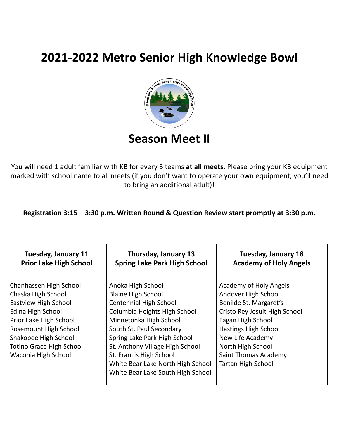## **2021-2022 Metro Senior High Knowledge Bowl**



You will need 1 adult familiar with KB for every 3 teams **at all meets**. Please bring your KB equipment marked with school name to all meets (if you don't want to operate your own equipment, you'll need to bring an additional adult)!

**Registration 3:15 – 3:30 p.m. Written Round & Question Review start promptly at 3:30 p.m.**

| <b>Tuesday, January 11</b>                                                                                                                                                                                                     | Thursday, January 13                                                                                                                                                                                                                                                                                                                          | <b>Tuesday, January 18</b>                                                                                                                                                                                                                          |
|--------------------------------------------------------------------------------------------------------------------------------------------------------------------------------------------------------------------------------|-----------------------------------------------------------------------------------------------------------------------------------------------------------------------------------------------------------------------------------------------------------------------------------------------------------------------------------------------|-----------------------------------------------------------------------------------------------------------------------------------------------------------------------------------------------------------------------------------------------------|
| <b>Prior Lake High School</b>                                                                                                                                                                                                  | <b>Spring Lake Park High School</b>                                                                                                                                                                                                                                                                                                           | <b>Academy of Holy Angels</b>                                                                                                                                                                                                                       |
| Chanhassen High School<br>Chaska High School<br>Eastview High School<br>Edina High School<br>Prior Lake High School<br>Rosemount High School<br>Shakopee High School<br><b>Totino Grace High School</b><br>Waconia High School | Anoka High School<br><b>Blaine High School</b><br><b>Centennial High School</b><br>Columbia Heights High School<br>Minnetonka High School<br>South St. Paul Secondary<br>Spring Lake Park High School<br>St. Anthony Village High School<br>St. Francis High School<br>White Bear Lake North High School<br>White Bear Lake South High School | Academy of Holy Angels<br>Andover High School<br>Benilde St. Margaret's<br>Cristo Rey Jesuit High School<br>Eagan High School<br>Hastings High School<br>New Life Academy<br>North High School<br>Saint Thomas Academy<br><b>Tartan High School</b> |